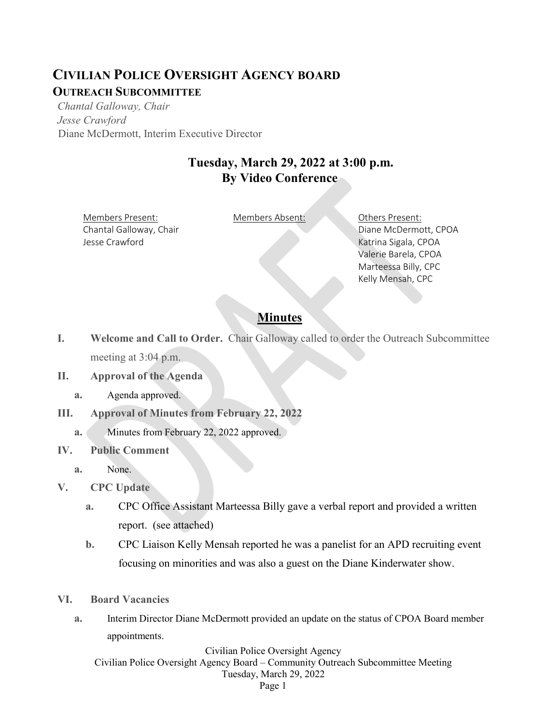## **CIVILIAN POLICE OVERSIGHT AGENCY BOARD OUTREACH SUBCOMMITTEE**

*Chantal Galloway, Chair Jesse Crawford* Diane McDermott, Interim Executive Director

## **Tuesday, March 29, 2022 at 3:00 p.m. By Video Conference**

Members Present: Members Absent: Others Present: Chantal Galloway, Chair Jesse Crawford

Diane McDermott, CPOA Katrina Sigala, CPOA Valerie Barela, CPOA Marteessa Billy, CPC Kelly Mensah, CPC

## **Minutes**

- **I. Welcome and Call to Order.** Chair Galloway called to order the Outreach Subcommittee meeting at 3:04 p.m.
- **II. Approval of the Agenda**
	- **a.** Agenda approved.
- **III. Approval of Minutes from February 22, 2022**
	- **a.** Minutes from February 22, 2022 approved.
- **IV. Public Comment**
	- **a.** None.
- **V. CPC Update** 
	- **a.** CPC Office Assistant Marteessa Billy gave a verbal report and provided a written report. (see attached)
	- **b.** CPC Liaison Kelly Mensah reported he was a panelist for an APD recruiting event focusing on minorities and was also a guest on the Diane Kinderwater show.
- **VI. Board Vacancies**
	- **a.** Interim Director Diane McDermott provided an update on the status of CPOA Board member appointments.

Civilian Police Oversight Agency Civilian Police Oversight Agency Board – Community Outreach Subcommittee Meeting Tuesday, March 29, 2022 Page 1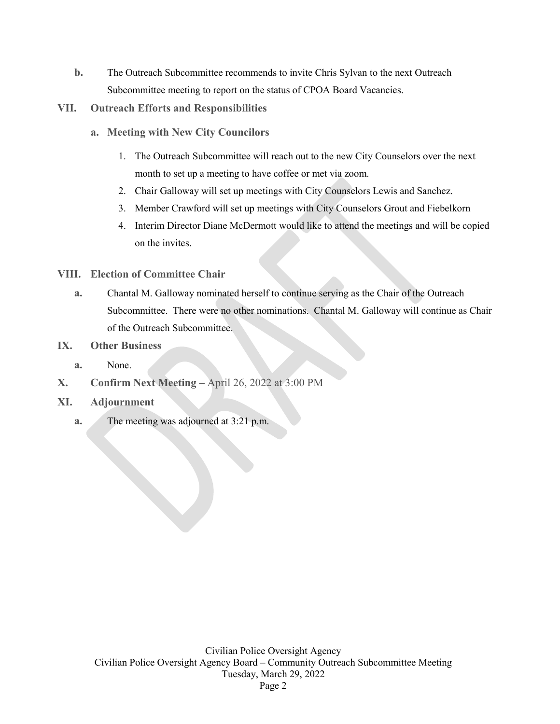- **b.** The Outreach Subcommittee recommends to invite Chris Sylvan to the next Outreach Subcommittee meeting to report on the status of CPOA Board Vacancies.
- **VII. Outreach Efforts and Responsibilities**
	- **a. Meeting with New City Councilors**
		- 1. The Outreach Subcommittee will reach out to the new City Counselors over the next month to set up a meeting to have coffee or met via zoom.
		- 2. Chair Galloway will set up meetings with City Counselors Lewis and Sanchez.
		- 3. Member Crawford will set up meetings with City Counselors Grout and Fiebelkorn
		- 4. Interim Director Diane McDermott would like to attend the meetings and will be copied on the invites.

## **VIII. Election of Committee Chair**

- **a.** Chantal M. Galloway nominated herself to continue serving as the Chair of the Outreach Subcommittee. There were no other nominations. Chantal M. Galloway will continue as Chair of the Outreach Subcommittee.
- **IX. Other Business**
	- **a.** None.
- **X. Confirm Next Meeting –** April 26, 2022 at 3:00 PM
- **XI. Adjournment**
	- **a.** The meeting was adjourned at 3:21 p.m.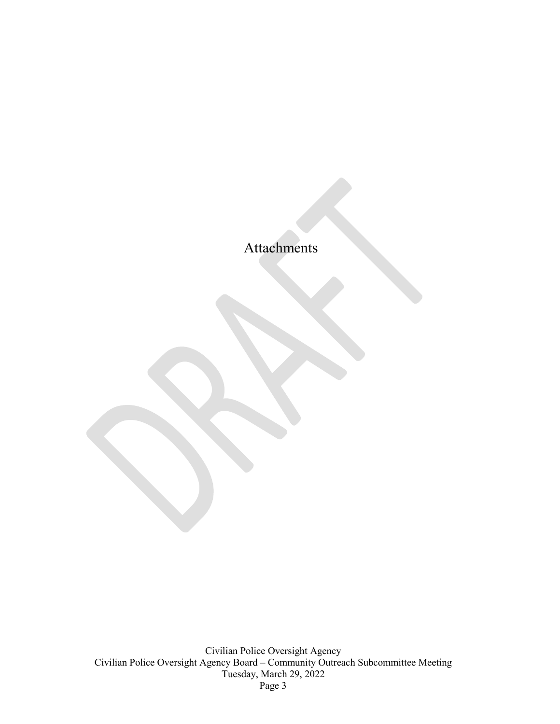Attachments

Civilian Police Oversight Agency Civilian Police Oversight Agency Board – Community Outreach Subcommittee Meeting Tuesday, March 29, 2022 Page 3